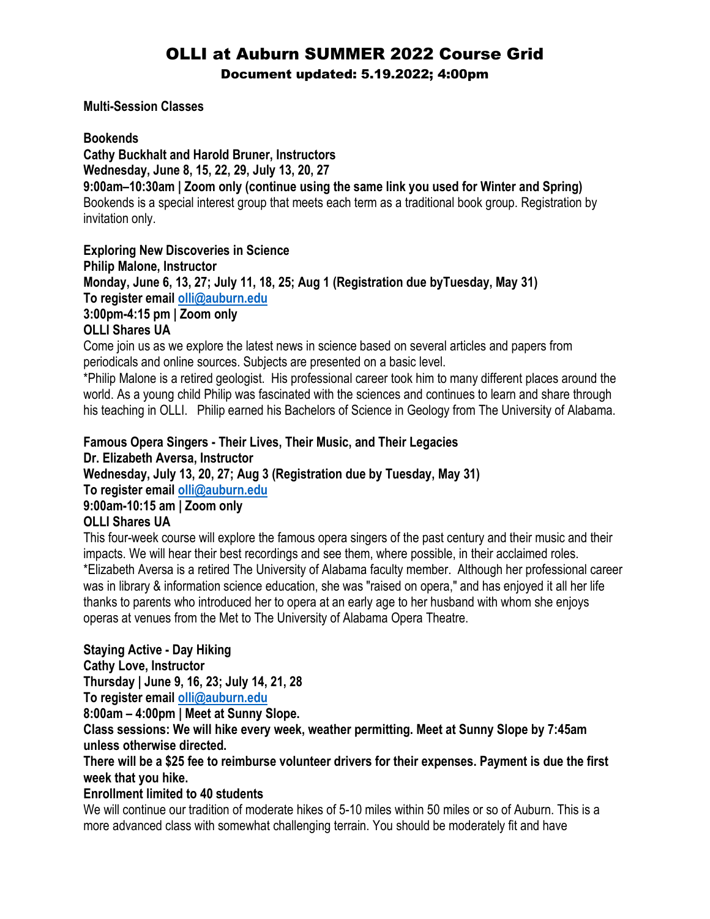# OLLI at Auburn SUMMER 2022 Course Grid

Document updated: 5.19.2022; 4:00pm

### **Multi-Session Classes**

### **Bookends**

**Cathy Buckhalt and Harold Bruner, Instructors Wednesday, June 8, 15, 22, 29, July 13, 20, 27 9:00am–10:30am | Zoom only (continue using the same link you used for Winter and Spring)** Bookends is a special interest group that meets each term as a traditional book group. Registration by invitation only.

### **Exploring New Discoveries in Science**

**Philip Malone, Instructor**

**Monday, June 6, 13, 27; July 11, 18, 25; Aug 1 (Registration due byTuesday, May 31) To register email [olli@auburn.edu](mailto:olli@auburn.edu)**

### **3:00pm-4:15 pm | Zoom only**

### **OLLI Shares UA**

Come join us as we explore the latest news in science based on several articles and papers from periodicals and online sources. Subjects are presented on a basic level.

\*Philip Malone is a retired geologist. His professional career took him to many different places around the world. As a young child Philip was fascinated with the sciences and continues to learn and share through his teaching in OLLI. Philip earned his Bachelors of Science in Geology from The University of Alabama.

### **Famous Opera Singers - Their Lives, Their Music, and Their Legacies Dr. Elizabeth Aversa, Instructor**

**Wednesday, July 13, 20, 27; Aug 3 (Registration due by Tuesday, May 31)**

**To register email [olli@auburn.edu](mailto:olli@auburn.edu)**

### **9:00am-10:15 am | Zoom only**

### **OLLI Shares UA**

This four-week course will explore the famous opera singers of the past century and their music and their impacts. We will hear their best recordings and see them, where possible, in their acclaimed roles. \*Elizabeth Aversa is a retired The University of Alabama faculty member. Although her professional career was in library & information science education, she was "raised on opera," and has enjoyed it all her life thanks to parents who introduced her to opera at an early age to her husband with whom she enjoys operas at venues from the Met to The University of Alabama Opera Theatre.

### **Staying Active - Day Hiking**

**Cathy Love, Instructor Thursday | June 9, 16, 23; July 14, 21, 28 To register email [olli@auburn.edu](mailto:olli@auburn.edu)**

**8:00am – 4:00pm | Meet at Sunny Slope.**

**Class sessions: We will hike every week, weather permitting. Meet at Sunny Slope by 7:45am unless otherwise directed.**

### **There will be a \$25 fee to reimburse volunteer drivers for their expenses. Payment is due the first week that you hike.**

### **Enrollment limited to 40 students**

We will continue our tradition of moderate hikes of 5-10 miles within 50 miles or so of Auburn. This is a more advanced class with somewhat challenging terrain. You should be moderately fit and have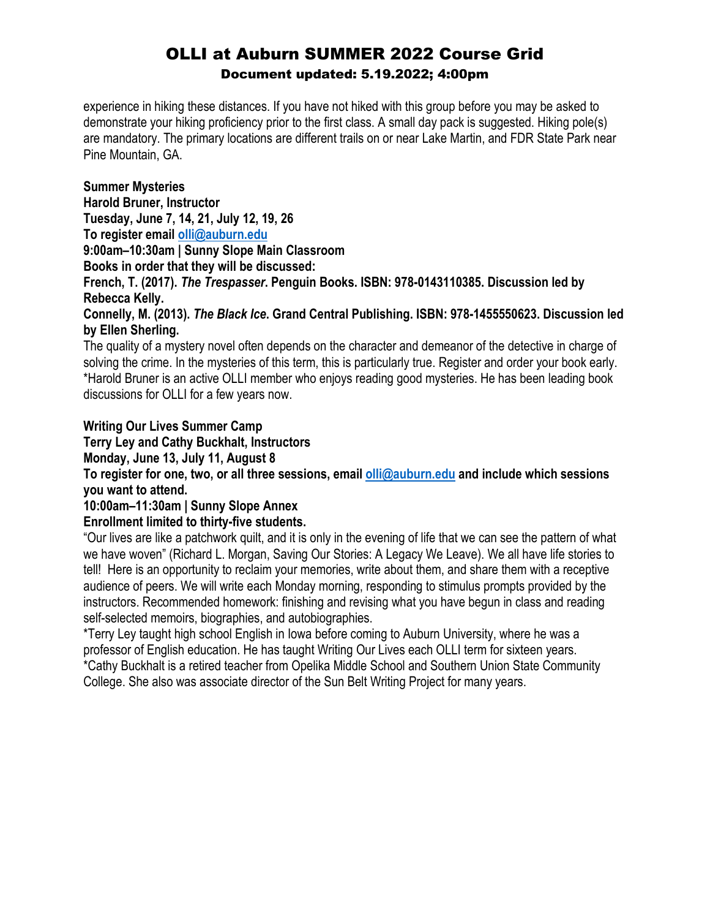experience in hiking these distances. If you have not hiked with this group before you may be asked to demonstrate your hiking proficiency prior to the first class. A small day pack is suggested. Hiking pole(s) are mandatory. The primary locations are different trails on or near Lake Martin, and FDR State Park near Pine Mountain, GA.

### **Summer Mysteries**

**Harold Bruner, Instructor Tuesday, June 7, 14, 21, July 12, 19, 26**

**To register email [olli@auburn.edu](mailto:olli@auburn.edu)**

**9:00am–10:30am | Sunny Slope Main Classroom**

**Books in order that they will be discussed:**

**French, T. (2017).** *The Trespasser***. Penguin Books. ISBN: 978-0143110385. Discussion led by Rebecca Kelly.**

**Connelly, M. (2013).** *The Black Ice***. Grand Central Publishing. ISBN: 978-1455550623. Discussion led by Ellen Sherling.**

The quality of a mystery novel often depends on the character and demeanor of the detective in charge of solving the crime. In the mysteries of this term, this is particularly true. Register and order your book early. \*Harold Bruner is an active OLLI member who enjoys reading good mysteries. He has been leading book discussions for OLLI for a few years now.

### **Writing Our Lives Summer Camp**

**Terry Ley and Cathy Buckhalt, Instructors**

**Monday, June 13, July 11, August 8**

**To register for one, two, or all three sessions, email [olli@auburn.edu](mailto:olli@auburn.edu) and include which sessions you want to attend.**

### **10:00am–11:30am | Sunny Slope Annex**

### **Enrollment limited to thirty-five students.**

"Our lives are like a patchwork quilt, and it is only in the evening of life that we can see the pattern of what we have woven" (Richard L. Morgan, Saving Our Stories: A Legacy We Leave). We all have life stories to tell! Here is an opportunity to reclaim your memories, write about them, and share them with a receptive audience of peers. We will write each Monday morning, responding to stimulus prompts provided by the instructors. Recommended homework: finishing and revising what you have begun in class and reading self-selected memoirs, biographies, and autobiographies.

\*Terry Ley taught high school English in Iowa before coming to Auburn University, where he was a professor of English education. He has taught Writing Our Lives each OLLI term for sixteen years. \*Cathy Buckhalt is a retired teacher from Opelika Middle School and Southern Union State Community College. She also was associate director of the Sun Belt Writing Project for many years.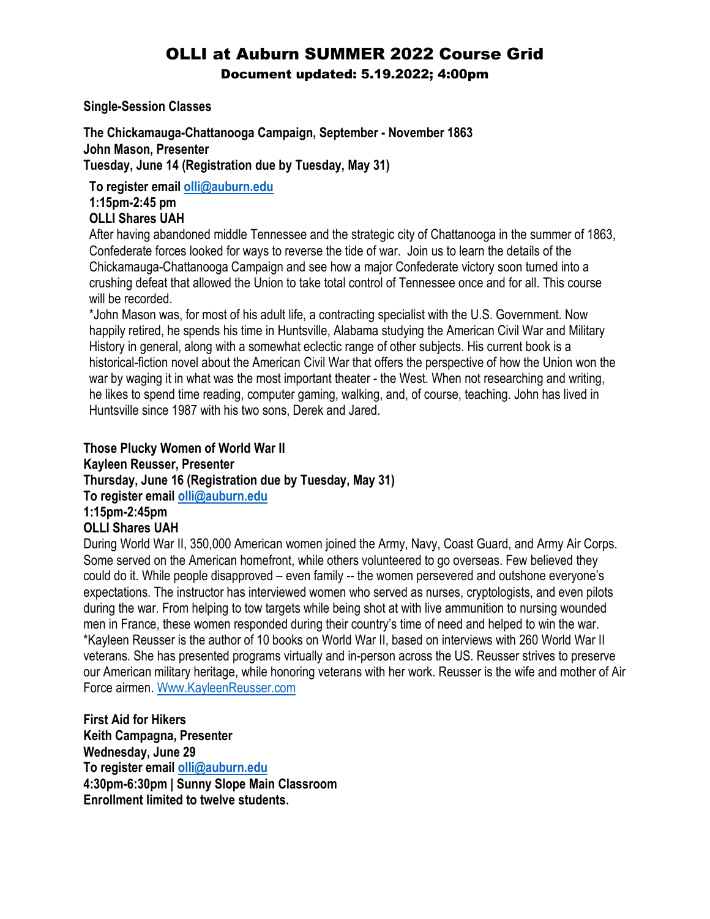# OLLI at Auburn SUMMER 2022 Course Grid

Document updated: 5.19.2022; 4:00pm

**Single-Session Classes**

**The Chickamauga-Chattanooga Campaign, September - November 1863 John Mason, Presenter Tuesday, June 14 (Registration due by Tuesday, May 31)**

**To register email [olli@auburn.edu](mailto:olli@auburn.edu)**

**1:15pm-2:45 pm OLLI Shares UAH**

After having abandoned middle Tennessee and the strategic city of Chattanooga in the summer of 1863, Confederate forces looked for ways to reverse the tide of war. Join us to learn the details of the Chickamauga-Chattanooga Campaign and see how a major Confederate victory soon turned into a crushing defeat that allowed the Union to take total control of Tennessee once and for all. This course will be recorded.

\*John Mason was, for most of his adult life, a contracting specialist with the U.S. Government. Now happily retired, he spends his time in Huntsville, Alabama studying the American Civil War and Military History in general, along with a somewhat eclectic range of other subjects. His current book is a historical-fiction novel about the American Civil War that offers the perspective of how the Union won the war by waging it in what was the most important theater - the West. When not researching and writing, he likes to spend time reading, computer gaming, walking, and, of course, teaching. John has lived in Huntsville since 1987 with his two sons, Derek and Jared.

### **Those Plucky Women of World War II**

**Kayleen Reusser, Presenter**

**Thursday, June 16 (Registration due by Tuesday, May 31)**

**To register email [olli@auburn.edu](mailto:olli@auburn.edu)**

### **1:15pm-2:45pm**

### **OLLI Shares UAH**

During World War II, 350,000 American women joined the Army, Navy, Coast Guard, and Army Air Corps. Some served on the American homefront, while others volunteered to go overseas. Few believed they could do it. While people disapproved – even family -- the women persevered and outshone everyone's expectations. The instructor has interviewed women who served as nurses, cryptologists, and even pilots during the war. From helping to tow targets while being shot at with live ammunition to nursing wounded men in France, these women responded during their country's time of need and helped to win the war. \*Kayleen Reusser is the author of 10 books on World War II, based on interviews with 260 World War II veterans. She has presented programs virtually and in-person across the US. Reusser strives to preserve our American military heritage, while honoring veterans with her work. Reusser is the wife and mother of Air Force airmen. [Www.KayleenReusser.com](http://www.kayleenreusser.com/)

**First Aid for Hikers Keith Campagna, Presenter Wednesday, June 29 To register email [olli@auburn.edu](mailto:olli@auburn.edu) 4:30pm-6:30pm | Sunny Slope Main Classroom Enrollment limited to twelve students.**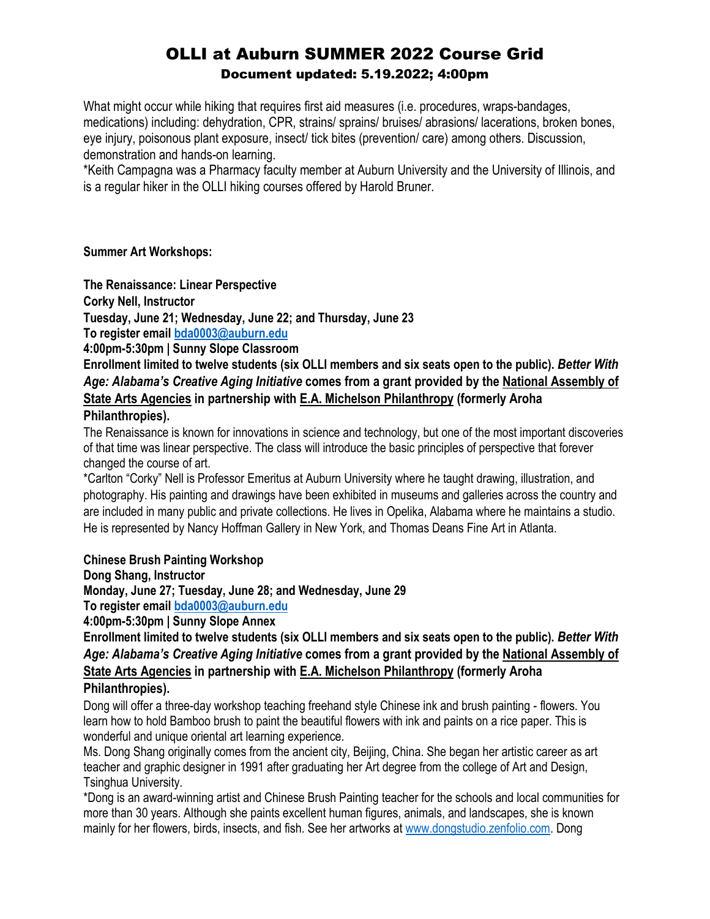What might occur while hiking that requires first aid measures (i.e. procedures, wraps-bandages, medications) including: dehydration, CPR, strains/ sprains/ bruises/ abrasions/ lacerations, broken bones, eye injury, poisonous plant exposure, insect/ tick bites (prevention/ care) among others. Discussion, demonstration and hands-on learning.

\*Keith Campagna was a Pharmacy faculty member at Auburn University and the University of Illinois, and is a regular hiker in the OLLI hiking courses offered by Harold Bruner.

### **Summer Art Workshops:**

**The Renaissance: Linear Perspective**

**Corky Nell, Instructor**

**Tuesday, June 21; Wednesday, June 22; and Thursday, June 23**

**To register email [bda0003@auburn.edu](mailto:bda0003@auburn.edu)**

**4:00pm-5:30pm | Sunny Slope Classroom**

**Enrollment limited to twelve students (six OLLI members and six seats open to the public).** *Better With Age: Alabama's Creative Aging Initiative* **comes from a grant provided by the [National Assembly of](https://nasaa-arts.org/nasaa_research/creative-aging/)  [State Arts](https://nasaa-arts.org/nasaa_research/creative-aging/) Agencies in partnership with [E.A. Michelson Philanthropy](https://eamichelsonphilanthropy.org/vitality-arts/creative-aging/) (formerly Aroha Philanthropies).** 

The Renaissance is known for innovations in science and technology, but one of the most important discoveries of that time was linear perspective. The class will introduce the basic principles of perspective that forever changed the course of art.

\*Carlton "Corky" Nell is Professor Emeritus at Auburn University where he taught drawing, illustration, and photography. His painting and drawings have been exhibited in museums and galleries across the country and are included in many public and private collections. He lives in Opelika, Alabama where he maintains a studio. He is represented by Nancy Hoffman Gallery in New York, and Thomas Deans Fine Art in Atlanta.

### **Chinese Brush Painting Workshop**

**Dong Shang, Instructor**

**Monday, June 27; Tuesday, June 28; and Wednesday, June 29**

**To register email [bda0003@auburn.edu](mailto:bda0003@auburn.edu)**

**4:00pm-5:30pm | Sunny Slope Annex**

**Enrollment limited to twelve students (six OLLI members and six seats open to the public).** *Better With Age: Alabama's Creative Aging Initiative* **comes from a grant provided by the [National Assembly of](https://nasaa-arts.org/nasaa_research/creative-aging/)  [State Arts Agencies](https://nasaa-arts.org/nasaa_research/creative-aging/) in partnership with [E.A. Michelson Philanthropy](https://eamichelsonphilanthropy.org/vitality-arts/creative-aging/) (formerly Aroha Philanthropies).** 

Dong will offer a three-day workshop teaching freehand style Chinese ink and brush painting - flowers. You learn how to hold Bamboo brush to paint the beautiful flowers with ink and paints on a rice paper. This is wonderful and unique oriental art learning experience.

Ms. Dong Shang originally comes from the ancient city, Beijing, China. She began her artistic career as art teacher and graphic designer in 1991 after graduating her Art degree from the college of Art and Design, Tsinghua University.

\*Dong is an award-winning artist and Chinese Brush Painting teacher for the schools and local communities for more than 30 years. Although she paints excellent human figures, animals, and landscapes, she is known mainly for her flowers, birds, insects, and fish. See her artworks at [www.dongstudio.zenfolio.com.](http://www.dongstudio.zenfolio.com/) Dong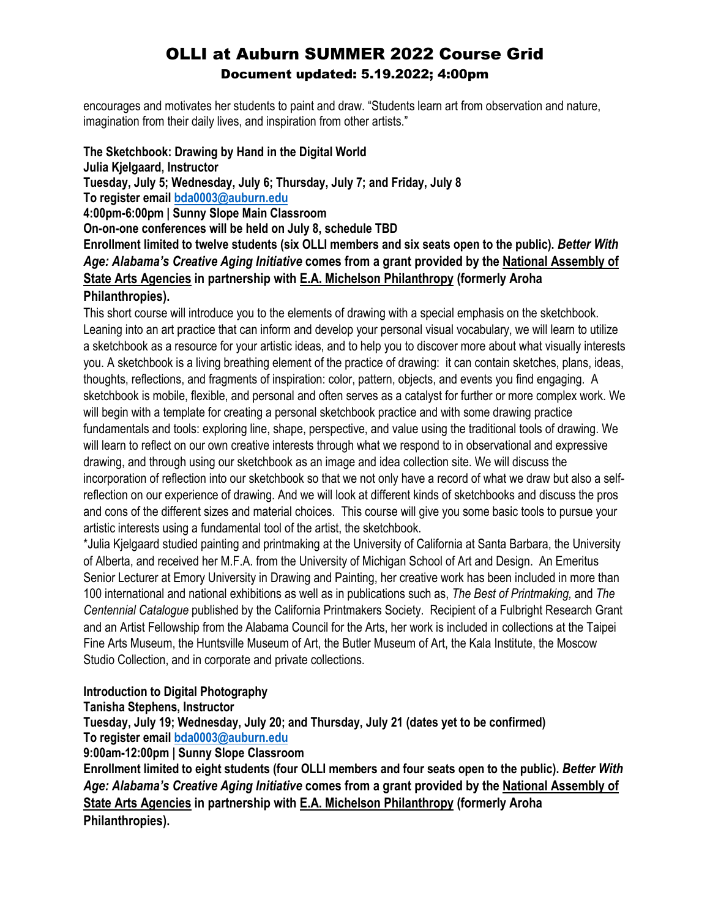encourages and motivates her students to paint and draw. "Students learn art from observation and nature, imagination from their daily lives, and inspiration from other artists."

**The Sketchbook: Drawing by Hand in the Digital World Julia Kjelgaard, Instructor Tuesday, July 5; Wednesday, July 6; Thursday, July 7; and Friday, July 8 To register email [bda0003@auburn.edu](mailto:bda0003@auburn.edu) 4:00pm-6:00pm | Sunny Slope Main Classroom On-on-one conferences will be held on July 8, schedule TBD Enrollment limited to twelve students (six OLLI members and six seats open to the public).** *Better With Age: Alabama's Creative Aging Initiative* **comes from a grant provided by the [National Assembly of](https://nasaa-arts.org/nasaa_research/creative-aging/)  [State Arts Agencies](https://nasaa-arts.org/nasaa_research/creative-aging/) in partnership with [E.A. Michelson Philanthropy](https://eamichelsonphilanthropy.org/vitality-arts/creative-aging/) (formerly Aroha Philanthropies).** 

This short course will introduce you to the elements of drawing with a special emphasis on the sketchbook. Leaning into an art practice that can inform and develop your personal visual vocabulary, we will learn to utilize a sketchbook as a resource for your artistic ideas, and to help you to discover more about what visually interests you. A sketchbook is a living breathing element of the practice of drawing: it can contain sketches, plans, ideas, thoughts, reflections, and fragments of inspiration: color, pattern, objects, and events you find engaging. A sketchbook is mobile, flexible, and personal and often serves as a catalyst for further or more complex work. We will begin with a template for creating a personal sketchbook practice and with some drawing practice fundamentals and tools: exploring line, shape, perspective, and value using the traditional tools of drawing. We will learn to reflect on our own creative interests through what we respond to in observational and expressive drawing, and through using our sketchbook as an image and idea collection site. We will discuss the incorporation of reflection into our sketchbook so that we not only have a record of what we draw but also a selfreflection on our experience of drawing. And we will look at different kinds of sketchbooks and discuss the pros and cons of the different sizes and material choices. This course will give you some basic tools to pursue your artistic interests using a fundamental tool of the artist, the sketchbook.

\*Julia Kjelgaard studied painting and printmaking at the University of California at Santa Barbara, the University of Alberta, and received her M.F.A. from the University of Michigan School of Art and Design. An Emeritus Senior Lecturer at Emory University in Drawing and Painting, her creative work has been included in more than 100 international and national exhibitions as well as in publications such as, *The Best of Printmaking,* and *The Centennial Catalogue* published by the California Printmakers Society.Recipient of a Fulbright Research Grant and an Artist Fellowship from the Alabama Council for the Arts, her work is included in collections at the Taipei Fine Arts Museum, the Huntsville Museum of Art, the Butler Museum of Art, the Kala Institute, the Moscow Studio Collection, and in corporate and private collections.

### **Introduction to Digital Photography**

### **Tanisha Stephens, Instructor**

**Tuesday, July 19; Wednesday, July 20; and Thursday, July 21 (dates yet to be confirmed) To register email [bda0003@auburn.edu](mailto:bda0003@auburn.edu)**

**9:00am-12:00pm | Sunny Slope Classroom**

**Enrollment limited to eight students (four OLLI members and four seats open to the public).** *Better With Age: Alabama's Creative Aging Initiative* **comes from a grant provided by the [National Assembly of](https://nasaa-arts.org/nasaa_research/creative-aging/)  [State Arts Agencies](https://nasaa-arts.org/nasaa_research/creative-aging/) in partnership with [E.A. Michelson Philanthropy](https://eamichelsonphilanthropy.org/vitality-arts/creative-aging/) (formerly Aroha Philanthropies).**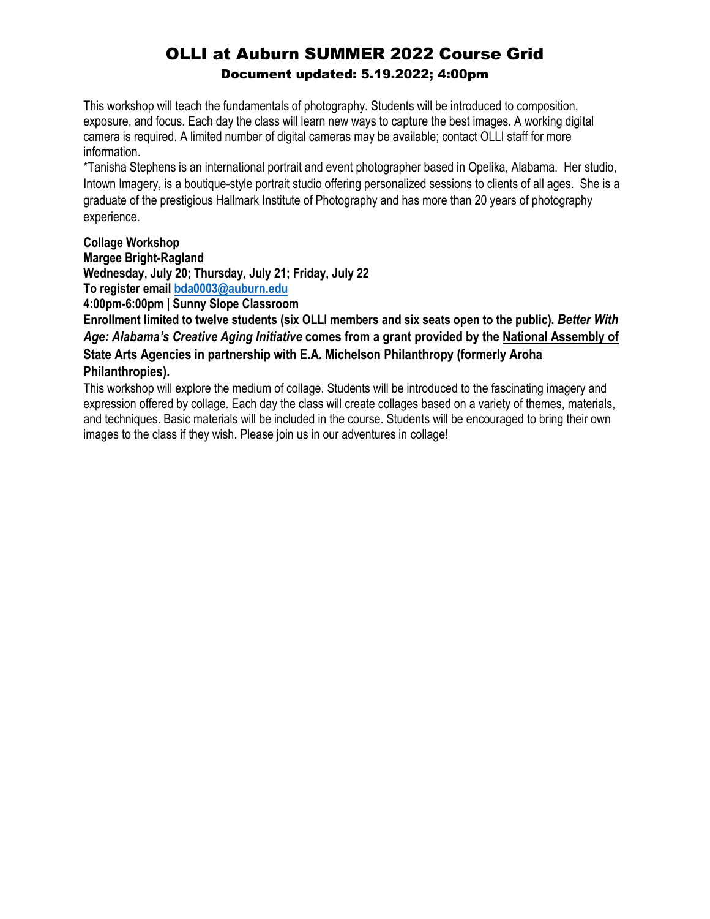This workshop will teach the fundamentals of photography. Students will be introduced to composition, exposure, and focus. Each day the class will learn new ways to capture the best images. A working digital camera is required. A limited number of digital cameras may be available; contact OLLI staff for more information.

\*Tanisha Stephens is an international portrait and event photographer based in Opelika, Alabama. Her studio, Intown Imagery, is a boutique-style portrait studio offering personalized sessions to clients of all ages. She is a graduate of the prestigious Hallmark Institute of Photography and has more than 20 years of photography experience.

### **Collage Workshop**

### **Margee Bright-Ragland**

**Wednesday, July 20; Thursday, July 21; Friday, July 22 To register email [bda0003@auburn.edu](mailto:bda0003@auburn.edu)**

**4:00pm-6:00pm | Sunny Slope Classroom**

**Enrollment limited to twelve students (six OLLI members and six seats open to the public).** *Better With Age: Alabama's Creative Aging Initiative* **comes from a grant provided by the [National Assembly of](https://nasaa-arts.org/nasaa_research/creative-aging/)  [State Arts Agencies](https://nasaa-arts.org/nasaa_research/creative-aging/) in partnership with [E.A. Michelson Philanthropy](https://eamichelsonphilanthropy.org/vitality-arts/creative-aging/) (formerly Aroha Philanthropies).** 

This workshop will explore the medium of collage. Students will be introduced to the fascinating imagery and expression offered by collage. Each day the class will create collages based on a variety of themes, materials, and techniques. Basic materials will be included in the course. Students will be encouraged to bring their own images to the class if they wish. Please join us in our adventures in collage!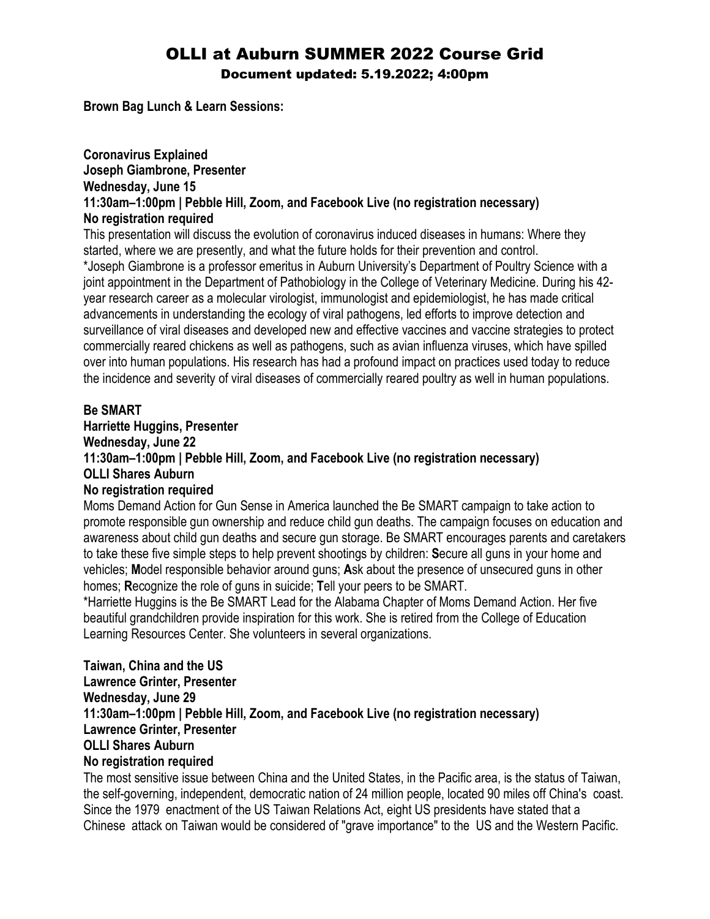**Brown Bag Lunch & Learn Sessions:**

### **Coronavirus Explained Joseph Giambrone, Presenter Wednesday, June 15 11:30am–1:00pm | Pebble Hill, Zoom, and Facebook Live (no registration necessary) No registration required**

This presentation will discuss the evolution of coronavirus induced diseases in humans: Where they started, where we are presently, and what the future holds for their prevention and control. \*Joseph Giambrone is a professor emeritus in Auburn University's Department of Poultry Science with a joint appointment in the Department of Pathobiology in the College of Veterinary Medicine. During his 42 year research career as a molecular virologist, immunologist and epidemiologist, he has made critical advancements in understanding the ecology of viral pathogens, led efforts to improve detection and surveillance of viral diseases and developed new and effective vaccines and vaccine strategies to protect commercially reared chickens as well as pathogens, such as avian influenza viruses, which have spilled over into human populations. His research has had a profound impact on practices used today to reduce the incidence and severity of viral diseases of commercially reared poultry as well in human populations.

### **Be SMART**

### **Harriette Huggins, Presenter Wednesday, June 22 11:30am–1:00pm | Pebble Hill, Zoom, and Facebook Live (no registration necessary) OLLI Shares Auburn No registration required**

Moms Demand Action for Gun Sense in America launched the Be SMART campaign to take action to promote responsible gun ownership and reduce child gun deaths. The campaign focuses on education and awareness about child gun deaths and secure gun storage. Be SMART encourages parents and caretakers to take these five simple steps to help prevent shootings by children: **S**ecure all guns in your home and vehicles; **M**odel responsible behavior around guns; **A**sk about the presence of unsecured guns in other homes; **R**ecognize the role of guns in suicide; **T**ell your peers to be SMART.

\*Harriette Huggins is the Be SMART Lead for the Alabama Chapter of Moms Demand Action. Her five beautiful grandchildren provide inspiration for this work. She is retired from the College of Education Learning Resources Center. She volunteers in several organizations.

### **Taiwan, China and the US Lawrence Grinter, Presenter Wednesday, June 29 11:30am–1:00pm | Pebble Hill, Zoom, and Facebook Live (no registration necessary) Lawrence Grinter, Presenter OLLI Shares Auburn No registration required**

The most sensitive issue between China and the United States, in the Pacific area, is the status of Taiwan, the self-governing, independent, democratic nation of 24 million people, located 90 miles off China's coast. Since the 1979 enactment of the US Taiwan Relations Act, eight US presidents have stated that a Chinese attack on Taiwan would be considered of "grave importance" to the US and the Western Pacific.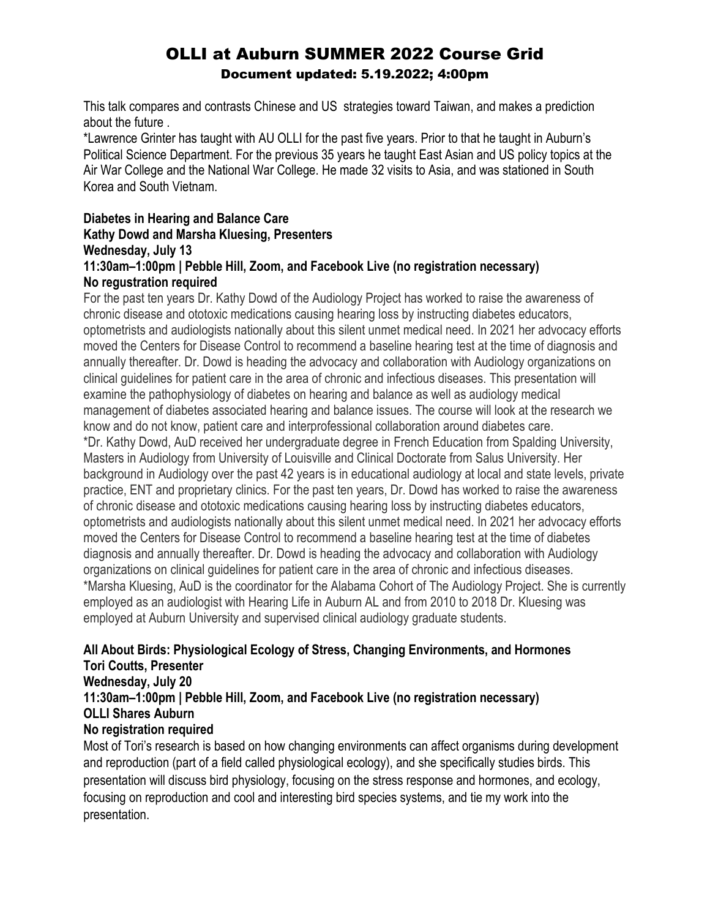This talk compares and contrasts Chinese and US strategies toward Taiwan, and makes a prediction about the future .

\*Lawrence Grinter has taught with AU OLLI for the past five years. Prior to that he taught in Auburn's Political Science Department. For the previous 35 years he taught East Asian and US policy topics at the Air War College and the National War College. He made 32 visits to Asia, and was stationed in South Korea and South Vietnam.

### **Diabetes in Hearing and Balance Care Kathy Dowd and Marsha Kluesing, Presenters Wednesday, July 13 11:30am–1:00pm | Pebble Hill, Zoom, and Facebook Live (no registration necessary)**

### **No regustration required**

For the past ten years Dr. Kathy Dowd of the Audiology Project has worked to raise the awareness of chronic disease and ototoxic medications causing hearing loss by instructing diabetes educators, optometrists and audiologists nationally about this silent unmet medical need. In 2021 her advocacy efforts moved the Centers for Disease Control to recommend a baseline hearing test at the time of diagnosis and annually thereafter. Dr. Dowd is heading the advocacy and collaboration with Audiology organizations on clinical guidelines for patient care in the area of chronic and infectious diseases. This presentation will examine the pathophysiology of diabetes on hearing and balance as well as audiology medical management of diabetes associated hearing and balance issues. The course will look at the research we know and do not know, patient care and interprofessional collaboration around diabetes care.

\*Dr. Kathy Dowd, AuD received her undergraduate degree in French Education from Spalding University, Masters in Audiology from University of Louisville and Clinical Doctorate from Salus University. Her background in Audiology over the past 42 years is in educational audiology at local and state levels, private practice, ENT and proprietary clinics. For the past ten years, Dr. Dowd has worked to raise the awareness of chronic disease and ototoxic medications causing hearing loss by instructing diabetes educators, optometrists and audiologists nationally about this silent unmet medical need. In 2021 her advocacy efforts moved the Centers for Disease Control to recommend a baseline hearing test at the time of diabetes diagnosis and annually thereafter. Dr. Dowd is heading the advocacy and collaboration with Audiology organizations on clinical guidelines for patient care in the area of chronic and infectious diseases. \*Marsha Kluesing, AuD is the coordinator for the Alabama Cohort of The Audiology Project. She is currently employed as an audiologist with Hearing Life in Auburn AL and from 2010 to 2018 Dr. Kluesing was employed at Auburn University and supervised clinical audiology graduate students.

#### **All About Birds: Physiological Ecology of Stress, Changing Environments, and Hormones Tori Coutts, Presenter Wednesday, July 20 11:30am–1:00pm | Pebble Hill, Zoom, and Facebook Live (no registration necessary)**

**OLLI Shares Auburn**

### **No registration required**

Most of Tori's research is based on how changing environments can affect organisms during development and reproduction (part of a field called physiological ecology), and she specifically studies birds. This presentation will discuss bird physiology, focusing on the stress response and hormones, and ecology, focusing on reproduction and cool and interesting bird species systems, and tie my work into the presentation.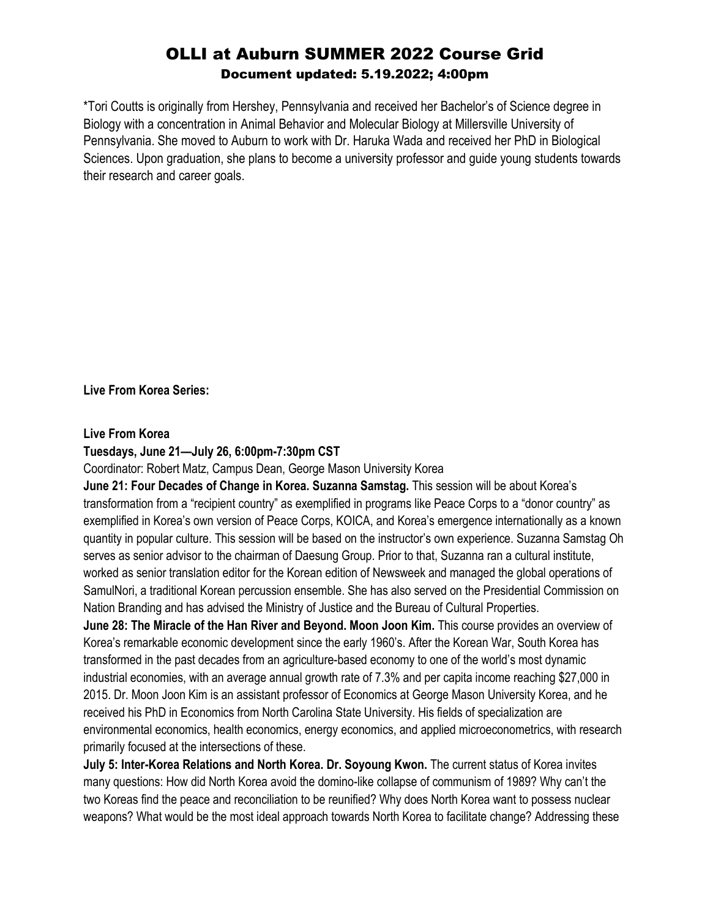\*Tori Coutts is originally from Hershey, Pennsylvania and received her Bachelor's of Science degree in Biology with a concentration in Animal Behavior and Molecular Biology at Millersville University of Pennsylvania. She moved to Auburn to work with Dr. Haruka Wada and received her PhD in Biological Sciences. Upon graduation, she plans to become a university professor and guide young students towards their research and career goals.

**Live From Korea Series:**

#### **Live From Korea**

### **Tuesdays, June 21—July 26, 6:00pm-7:30pm CST**

Coordinator: Robert Matz, Campus Dean, George Mason University Korea

**June 21: Four Decades of Change in Korea. Suzanna Samstag.** This session will be about Korea's transformation from a "recipient country" as exemplified in programs like Peace Corps to a "donor country" as exemplified in Korea's own version of Peace Corps, KOICA, and Korea's emergence internationally as a known quantity in popular culture. This session will be based on the instructor's own experience. Suzanna Samstag Oh serves as senior advisor to the chairman of Daesung Group. Prior to that, Suzanna ran a cultural institute, worked as senior translation editor for the Korean edition of Newsweek and managed the global operations of SamulNori, a traditional Korean percussion ensemble. She has also served on the Presidential Commission on Nation Branding and has advised the Ministry of Justice and the Bureau of Cultural Properties.

**June 28: The Miracle of the Han River and Beyond. Moon Joon Kim.** This course provides an overview of Korea's remarkable economic development since the early 1960's. After the Korean War, South Korea has transformed in the past decades from an agriculture-based economy to one of the world's most dynamic industrial economies, with an average annual growth rate of 7.3% and per capita income reaching \$27,000 in 2015. Dr. Moon Joon Kim is an assistant professor of Economics at George Mason University Korea, and he received his PhD in Economics from North Carolina State University. His fields of specialization are environmental economics, health economics, energy economics, and applied microeconometrics, with research primarily focused at the intersections of these.

**July 5: Inter-Korea Relations and North Korea. Dr. Soyoung Kwon.** The current status of Korea invites many questions: How did North Korea avoid the domino-like collapse of communism of 1989? Why can't the two Koreas find the peace and reconciliation to be reunified? Why does North Korea want to possess nuclear weapons? What would be the most ideal approach towards North Korea to facilitate change? Addressing these